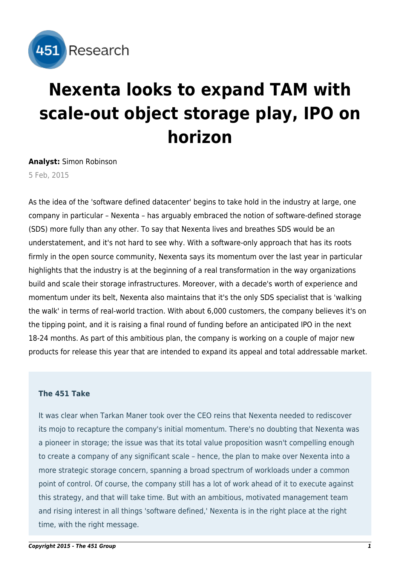

# **Nexenta looks to expand TAM with scale-out object storage play, IPO on horizon**

**Analyst:** Simon Robinson

5 Feb, 2015

As the idea of the 'software defined datacenter' begins to take hold in the industry at large, one company in particular – Nexenta – has arguably embraced the notion of software-defined storage (SDS) more fully than any other. To say that Nexenta lives and breathes SDS would be an understatement, and it's not hard to see why. With a software-only approach that has its roots firmly in the open source community, Nexenta says its momentum over the last year in particular highlights that the industry is at the beginning of a real transformation in the way organizations build and scale their storage infrastructures. Moreover, with a decade's worth of experience and momentum under its belt, Nexenta also maintains that it's the only SDS specialist that is 'walking the walk' in terms of real-world traction. With about 6,000 customers, the company believes it's on the tipping point, and it is raising a final round of funding before an anticipated IPO in the next 18-24 months. As part of this ambitious plan, the company is working on a couple of major new products for release this year that are intended to expand its appeal and total addressable market.

# **The 451 Take**

It was clear when Tarkan Maner took over the CEO reins that Nexenta needed to rediscover its mojo to recapture the company's initial momentum. There's no doubting that Nexenta was a pioneer in storage; the issue was that its total value proposition wasn't compelling enough to create a company of any significant scale – hence, the plan to make over Nexenta into a more strategic storage concern, spanning a broad spectrum of workloads under a common point of control. Of course, the company still has a lot of work ahead of it to execute against this strategy, and that will take time. But with an ambitious, motivated management team and rising interest in all things 'software defined,' Nexenta is in the right place at the right time, with the right message.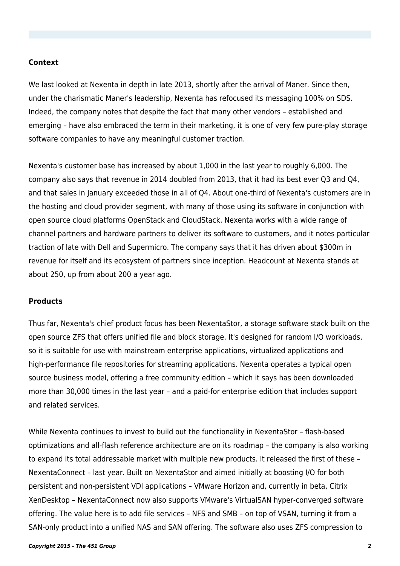### **Context**

We last looked at Nexenta in depth [in late 2013,](http://451research.com/report-short?entityId=79486) shortly after the arrival of Maner. Since then, under the charismatic Maner's leadership, Nexenta has refocused its messaging 100% on SDS. Indeed, the company notes that despite the fact that many other vendors – established and emerging – have also embraced the term in their marketing, it is one of very few pure-play storage software companies to have any meaningful customer traction.

Nexenta's customer base has increased by about 1,000 in the last year to roughly 6,000. The company also says that revenue in 2014 doubled from 2013, that it had its best ever Q3 and Q4, and that sales in January exceeded those in all of Q4. About one-third of Nexenta's customers are in the hosting and cloud provider segment, with many of those using its software in conjunction with open source cloud platforms OpenStack and CloudStack. Nexenta works with a wide range of channel partners and hardware partners to deliver its software to customers, and it notes particular traction of late with Dell and Supermicro. The company says that it has driven about \$300m in revenue for itself and its ecosystem of partners since inception. Headcount at Nexenta stands at about 250, up from about 200 a year ago.

### **Products**

Thus far, Nexenta's chief product focus has been NexentaStor, a storage software stack built on the open source ZFS that offers unified file and block storage. It's designed for random I/O workloads, so it is suitable for use with mainstream enterprise applications, virtualized applications and high-performance file repositories for streaming applications. Nexenta operates a typical open source business model, offering a free community edition – which it says has been downloaded more than 30,000 times in the last year – and a paid-for enterprise edition that includes support and related services.

While Nexenta continues to invest to build out the functionality in NexentaStor – flash-based optimizations and all-flash reference architecture are on its roadmap – the company is also working to expand its total addressable market with multiple new products. It released the first of these – NexentaConnect – last year. Built on NexentaStor and aimed initially at boosting I/O for both persistent and non-persistent VDI applications – VMware Horizon and, currently in beta, Citrix XenDesktop – NexentaConnect now also supports VMware's VirtualSAN hyper-converged software offering. The value here is to add file services – NFS and SMB – on top of VSAN, turning it from a SAN-only product into a unified NAS and SAN offering. The software also uses ZFS compression to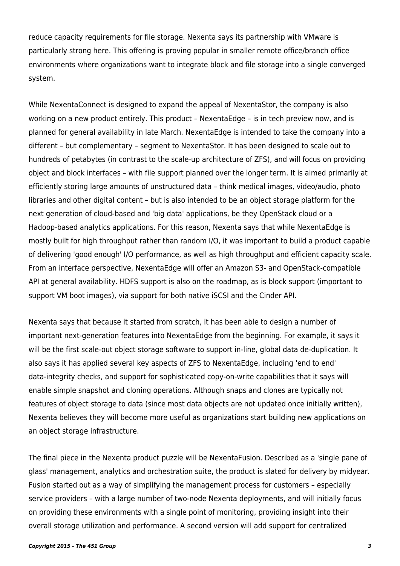reduce capacity requirements for file storage. Nexenta says its partnership with VMware is particularly strong here. This offering is proving popular in smaller remote office/branch office environments where organizations want to integrate block and file storage into a single converged system.

While NexentaConnect is designed to expand the appeal of NexentaStor, the company is also working on a new product entirely. This product – NexentaEdge – is in tech preview now, and is planned for general availability in late March. NexentaEdge is intended to take the company into a different – but complementary – segment to NexentaStor. It has been designed to scale out to hundreds of petabytes (in contrast to the scale-up architecture of ZFS), and will focus on providing object and block interfaces – with file support planned over the longer term. It is aimed primarily at efficiently storing large amounts of unstructured data – think medical images, video/audio, photo libraries and other digital content – but is also intended to be an object storage platform for the next generation of cloud-based and 'big data' applications, be they OpenStack cloud or a Hadoop-based analytics applications. For this reason, Nexenta says that while NexentaEdge is mostly built for high throughput rather than random I/O, it was important to build a product capable of delivering 'good enough' I/O performance, as well as high throughput and efficient capacity scale. From an interface perspective, NexentaEdge will offer an Amazon S3- and OpenStack-compatible API at general availability. HDFS support is also on the roadmap, as is block support (important to support VM boot images), via support for both native iSCSI and the Cinder API.

Nexenta says that because it started from scratch, it has been able to design a number of important next-generation features into NexentaEdge from the beginning. For example, it says it will be the first scale-out object storage software to support in-line, global data de-duplication. It also says it has applied several key aspects of ZFS to NexentaEdge, including 'end to end' data-integrity checks, and support for sophisticated copy-on-write capabilities that it says will enable simple snapshot and cloning operations. Although snaps and clones are typically not features of object storage to data (since most data objects are not updated once initially written), Nexenta believes they will become more useful as organizations start building new applications on an object storage infrastructure.

The final piece in the Nexenta product puzzle will be NexentaFusion. Described as a 'single pane of glass' management, analytics and orchestration suite, the product is slated for delivery by midyear. Fusion started out as a way of simplifying the management process for customers – especially service providers – with a large number of two-node Nexenta deployments, and will initially focus on providing these environments with a single point of monitoring, providing insight into their overall storage utilization and performance. A second version will add support for centralized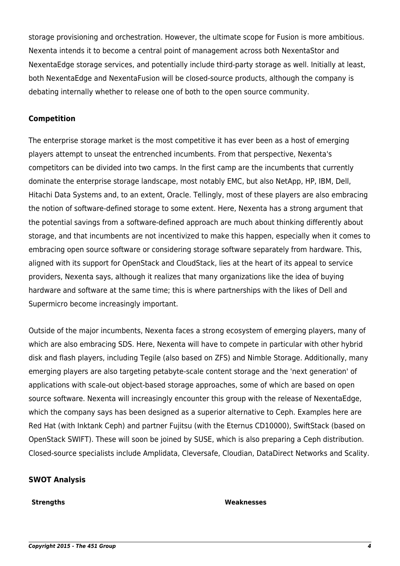storage provisioning and orchestration. However, the ultimate scope for Fusion is more ambitious. Nexenta intends it to become a central point of management across both NexentaStor and NexentaEdge storage services, and potentially include third-party storage as well. Initially at least, both NexentaEdge and NexentaFusion will be closed-source products, although the company is debating internally whether to release one of both to the open source community.

# **Competition**

The enterprise storage market is the most competitive it has ever been as a host of emerging players attempt to unseat the entrenched incumbents. From that perspective, Nexenta's competitors can be divided into two camps. In the first camp are the incumbents that currently dominate the enterprise storage landscape, most notably EMC, but also NetApp, HP, IBM, Dell, Hitachi Data Systems and, to an extent, Oracle. Tellingly, most of these players are also embracing the notion of software-defined storage to some extent. Here, Nexenta has a strong argument that the potential savings from a software-defined approach are much about thinking differently about storage, and that incumbents are not incentivized to make this happen, especially when it comes to embracing open source software or considering storage software separately from hardware. This, aligned with its support for OpenStack and CloudStack, lies at the heart of its appeal to service providers, Nexenta says, although it realizes that many organizations like the idea of buying hardware and software at the same time; this is where partnerships with the likes of Dell and Supermicro become increasingly important.

Outside of the major incumbents, Nexenta faces a strong ecosystem of emerging players, many of which are also embracing SDS. Here, Nexenta will have to compete in particular with other hybrid disk and flash players, including Tegile (also based on ZFS) and Nimble Storage. Additionally, many emerging players are also targeting petabyte-scale content storage and the 'next generation' of applications with scale-out object-based storage approaches, some of which are based on open source software. Nexenta will increasingly encounter this group with the release of NexentaEdge, which the company says has been designed as a superior alternative to Ceph. Examples here are Red Hat (with Inktank Ceph) and partner Fujitsu (with the Eternus CD10000), SwiftStack (based on OpenStack SWIFT). These will soon be joined by SUSE, which is also preparing a Ceph distribution. Closed-source specialists include Amplidata, Cleversafe, Cloudian, DataDirect Networks and Scality.

## **SWOT Analysis**

#### **Strengths Weaknesses**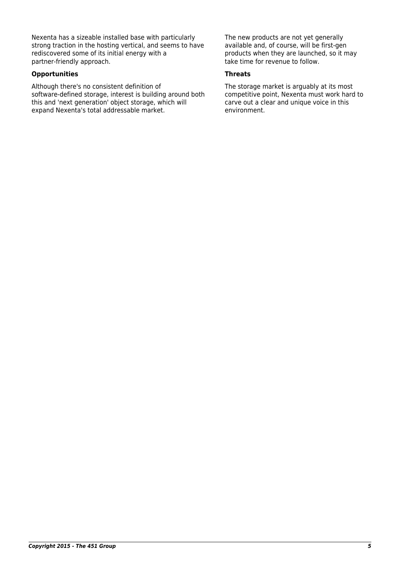Nexenta has a sizeable installed base with particularly strong traction in the hosting vertical, and seems to have rediscovered some of its initial energy with a partner-friendly approach.

### **Opportunities Threats**

Although there's no consistent definition of software-defined storage, interest is building around both this and 'next generation' object storage, which will expand Nexenta's total addressable market.

The new products are not yet generally available and, of course, will be first-gen products when they are launched, so it may take time for revenue to follow.

The storage market is arguably at its most competitive point, Nexenta must work hard to carve out a clear and unique voice in this environment.